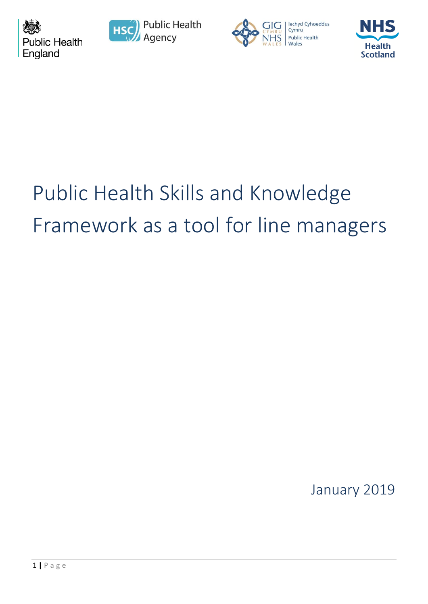







# Public Health Skills and Knowledge Framework as a tool for line managers

January 2019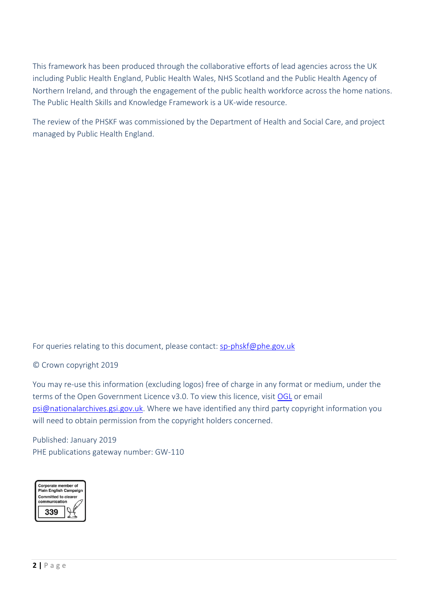This framework has been produced through the collaborative efforts of lead agencies across the UK including Public Health England, Public Health Wales, NHS Scotland and the Public Health Agency of Northern Ireland, and through the engagement of the public health workforce across the home nations. The Public Health Skills and Knowledge Framework is a UK-wide resource.

The review of the PHSKF was commissioned by the Department of Health and Social Care, and project managed by Public Health England.

For queries relating to this document, please contact: [sp-phskf@phe.gov.uk](mailto:sp-phskf@phe.gov.uk)

© Crown copyright 2019

You may re-use this information (excluding logos) free of charge in any format or medium, under the terms of the Open Government Licence v3.0. To view this licence, visit [OGL](https://www.nationalarchives.gov.uk/doc/open-government-licence/version/3/) or email [psi@nationalarchives.gsi.gov.uk.](mailto:psi@nationalarchives.gsi.gov.uk) Where we have identified any third party copyright information you will need to obtain permission from the copyright holders concerned.

Published: January 2019 PHE publications gateway number: GW-110

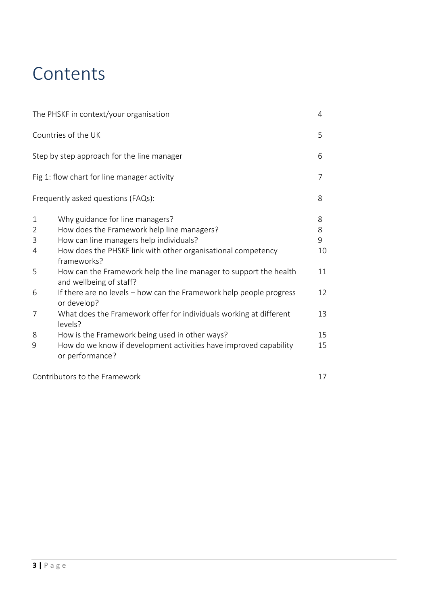## **Contents**

|                                                    | The PHSKF in context/your organisation                                                                                                                                                                                                                                                                                                                                                        | 4                             |
|----------------------------------------------------|-----------------------------------------------------------------------------------------------------------------------------------------------------------------------------------------------------------------------------------------------------------------------------------------------------------------------------------------------------------------------------------------------|-------------------------------|
|                                                    | Countries of the UK                                                                                                                                                                                                                                                                                                                                                                           | 5                             |
|                                                    | Step by step approach for the line manager                                                                                                                                                                                                                                                                                                                                                    | 6                             |
|                                                    | Fig 1: flow chart for line manager activity                                                                                                                                                                                                                                                                                                                                                   | 7                             |
|                                                    | Frequently asked questions (FAQs):                                                                                                                                                                                                                                                                                                                                                            | 8                             |
| $\mathbf{1}$<br>$\overline{2}$<br>3<br>4<br>5<br>6 | Why guidance for line managers?<br>How does the Framework help line managers?<br>How can line managers help individuals?<br>How does the PHSKF link with other organisational competency<br>frameworks?<br>How can the Framework help the line manager to support the health<br>and wellbeing of staff?<br>If there are no levels – how can the Framework help people progress<br>or develop? | 8<br>8<br>9<br>10<br>11<br>12 |
| 7                                                  | What does the Framework offer for individuals working at different<br>levels?                                                                                                                                                                                                                                                                                                                 | 13                            |
| 8<br>9                                             | How is the Framework being used in other ways?<br>How do we know if development activities have improved capability<br>or performance?                                                                                                                                                                                                                                                        | 15<br>15                      |
|                                                    | Contributors to the Framework                                                                                                                                                                                                                                                                                                                                                                 | 17                            |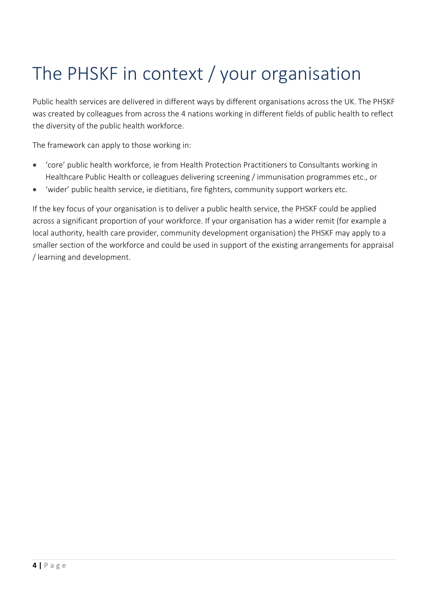# The PHSKF in context / your organisation

Public health services are delivered in different ways by different organisations across the UK. The PHSKF was created by colleagues from across the 4 nations working in different fields of public health to reflect the diversity of the public health workforce.

The framework can apply to those working in:

- 'core' public health workforce, ie from Health Protection Practitioners to Consultants working in Healthcare Public Health or colleagues delivering screening / immunisation programmes etc., or
- 'wider' public health service, ie dietitians, fire fighters, community support workers etc.

If the key focus of your organisation is to deliver a public health service, the PHSKF could be applied across a significant proportion of your workforce. If your organisation has a wider remit (for example a local authority, health care provider, community development organisation) the PHSKF may apply to a smaller section of the workforce and could be used in support of the existing arrangements for appraisal / learning and development.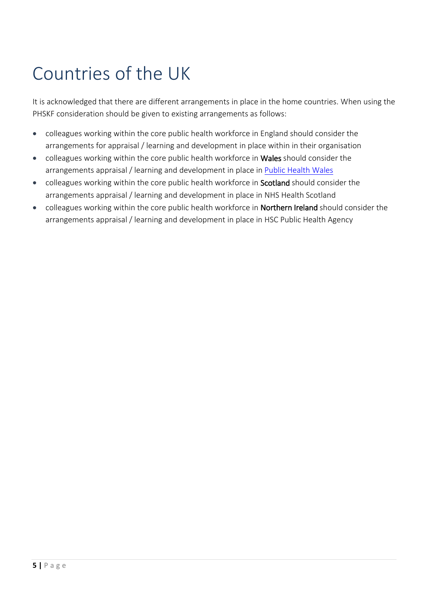# Countries of the UK

It is acknowledged that there are different arrangements in place in the home countries. When using the PHSKF consideration should be given to existing arrangements as follows:

- colleagues working within the core public health workforce in England should consider the arrangements for appraisal / learning and development in place within in their organisation
- colleagues working within the core public health workforce in Wales should consider the arrangements appraisal / learning and development in place in [Public Health Wales](http://howis.wales.nhs.uk/sitesplus/888/page/73692)
- colleagues working within the core public health workforce in **Scotland** should consider the arrangements appraisal / learning and development in place in NHS Health Scotland
- colleagues working within the core public health workforce in **Northern Ireland** should consider the arrangements appraisal / learning and development in place in HSC Public Health Agency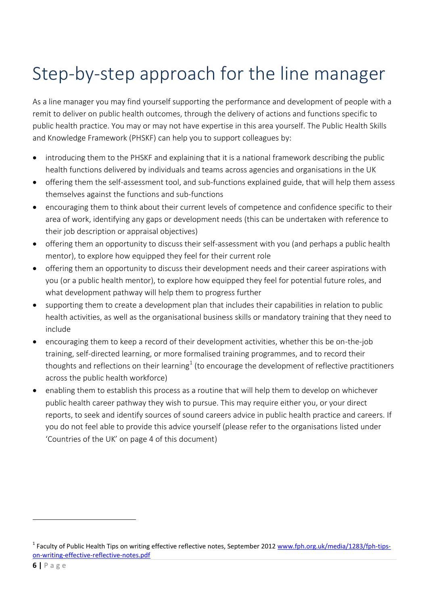# Step-by-step approach for the line manager

As a line manager you may find yourself supporting the performance and development of people with a remit to deliver on public health outcomes, through the delivery of actions and functions specific to public health practice. You may or may not have expertise in this area yourself. The Public Health Skills and Knowledge Framework (PHSKF) can help you to support colleagues by:

- introducing them to the PHSKF and explaining that it is a national framework describing the public health functions delivered by individuals and teams across agencies and organisations in the UK
- offering them the self-assessment tool, and sub-functions explained guide, that will help them assess themselves against the functions and sub-functions
- encouraging them to think about their current levels of competence and confidence specific to their area of work, identifying any gaps or development needs (this can be undertaken with reference to their job description or appraisal objectives)
- offering them an opportunity to discuss their self-assessment with you (and perhaps a public health mentor), to explore how equipped they feel for their current role
- offering them an opportunity to discuss their development needs and their career aspirations with you (or a public health mentor), to explore how equipped they feel for potential future roles, and what development pathway will help them to progress further
- supporting them to create a development plan that includes their capabilities in relation to public health activities, as well as the organisational business skills or mandatory training that they need to include
- encouraging them to keep a record of their development activities, whether this be on-the-job training, self-directed learning, or more formalised training programmes, and to record their thoughts and reflections on their learning $^1$  (to encourage the development of reflective practitioners across the public health workforce)
- enabling them to establish this process as a routine that will help them to develop on whichever public health career pathway they wish to pursue. This may require either you, or your direct reports, to seek and identify sources of sound careers advice in public health practice and careers. If you do not feel able to provide this advice yourself (please refer to the organisations listed under 'Countries of the UK' on page 4 of this document)

<sup>&</sup>lt;sup>1</sup> Faculty of Public Health Tips on writing effective reflective notes, September 2012 [www.fph.org.uk/media/1283/fph-tips](https://www.fph.org.uk/media/1283/fph-tips-on-writing-effective-reflective-notes.pdf)[on-writing-effective-reflective-notes.pdf](https://www.fph.org.uk/media/1283/fph-tips-on-writing-effective-reflective-notes.pdf)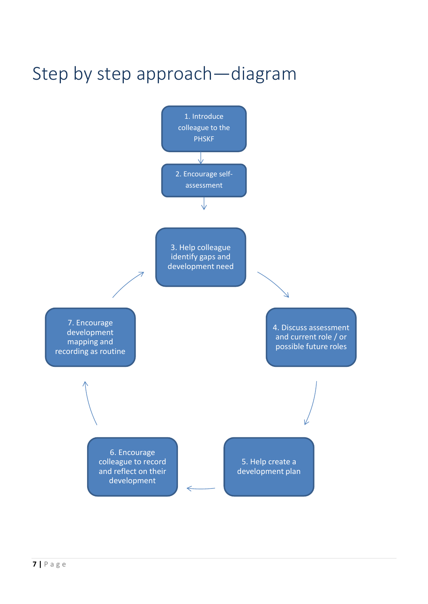# Step by step approach—diagram

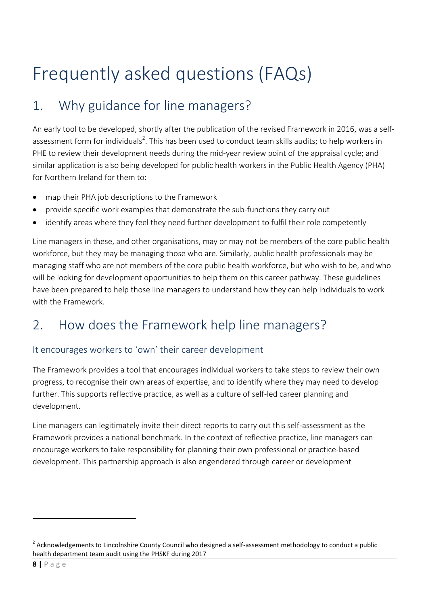# Frequently asked questions (FAQs)

## 1. Why guidance for line managers?

An early tool to be developed, shortly after the publication of the revised Framework in 2016, was a selfassessment form for individuals<sup>2</sup>. This has been used to conduct team skills audits; to help workers in PHE to review their development needs during the mid-year review point of the appraisal cycle; and similar application is also being developed for public health workers in the Public Health Agency (PHA) for Northern Ireland for them to:

- map their PHA job descriptions to the Framework
- provide specific work examples that demonstrate the sub-functions they carry out
- identify areas where they feel they need further development to fulfil their role competently

Line managers in these, and other organisations, may or may not be members of the core public health workforce, but they may be managing those who are. Similarly, public health professionals may be managing staff who are not members of the core public health workforce, but who wish to be, and who will be looking for development opportunities to help them on this career pathway. These guidelines have been prepared to help those line managers to understand how they can help individuals to work with the Framework.

### 2. How does the Framework help line managers?

### It encourages workers to 'own' their career development

The Framework provides a tool that encourages individual workers to take steps to review their own progress, to recognise their own areas of expertise, and to identify where they may need to develop further. This supports reflective practice, as well as a culture of self-led career planning and development.

Line managers can legitimately invite their direct reports to carry out this self-assessment as the Framework provides a national benchmark. In the context of reflective practice, line managers can encourage workers to take responsibility for planning their own professional or practice-based development. This partnership approach is also engendered through career or development

<sup>&</sup>lt;sup>2</sup> Acknowledgements to Lincolnshire County Council who designed a self-assessment methodology to conduct a public health department team audit using the PHSKF during 2017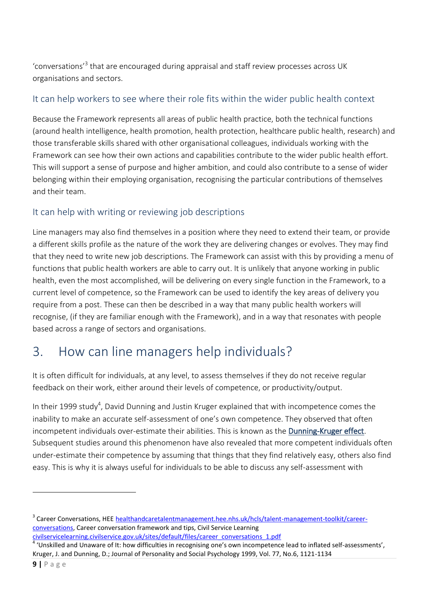'conversations<sup>'3</sup> that are encouraged during appraisal and staff review processes across UK organisations and sectors.

#### It can help workers to see where their role fits within the wider public health context

Because the Framework represents all areas of public health practice, both the technical functions (around health intelligence, health promotion, health protection, healthcare public health, research) and those transferable skills shared with other organisational colleagues, individuals working with the Framework can see how their own actions and capabilities contribute to the wider public health effort. This will support a sense of purpose and higher ambition, and could also contribute to a sense of wider belonging within their employing organisation, recognising the particular contributions of themselves and their team.

### It can help with writing or reviewing job descriptions

Line managers may also find themselves in a position where they need to extend their team, or provide a different skills profile as the nature of the work they are delivering changes or evolves. They may find that they need to write new job descriptions. The Framework can assist with this by providing a menu of functions that public health workers are able to carry out. It is unlikely that anyone working in public health, even the most accomplished, will be delivering on every single function in the Framework, to a current level of competence, so the Framework can be used to identify the key areas of delivery you require from a post. These can then be described in a way that many public health workers will recognise, (if they are familiar enough with the Framework), and in a way that resonates with people based across a range of sectors and organisations.

### 3. How can line managers help individuals?

It is often difficult for individuals, at any level, to assess themselves if they do not receive regular feedback on their work, either around their levels of competence, or productivity/output.

In their 1999 study<sup>4</sup>, David Dunning and Justin Kruger explained that with incompetence comes the inability to make an accurate self-assessment of one's own competence. They observed that often incompetent individuals over-estimate their abilities. This is known as the Dunning-Kruger effect. Subsequent studies around this phenomenon have also revealed that more competent individuals often under-estimate their competence by assuming that things that they find relatively easy, others also find easy. This is why it is always useful for individuals to be able to discuss any self-assessment with

**.** 

<sup>&</sup>lt;sup>3</sup> Career Conversations, HEE [healthandcaretalentmanagement.hee.nhs.uk/hcls/talent-management-toolkit/career](https://healthandcaretalentmanagement.hee.nhs.uk/hcls/talent-management-toolkit/career-conversations)[conversations,](https://healthandcaretalentmanagement.hee.nhs.uk/hcls/talent-management-toolkit/career-conversations) Career conversation framework and tips, Civil Service Learning

[civilservicelearning.civilservice.gov.uk/sites/default/files/career\\_conversations\\_1.pdf](https://civilservicelearning.civilservice.gov.uk/sites/default/files/career_conversations_1.pdf) 4 'Unskilled and Unaware of It: how difficulties in recognising one's own incompetence lead to inflated self-assessments', Kruger, J. and Dunning, D.; Journal of Personality and Social Psychology 1999, Vol. 77, No.6, 1121-1134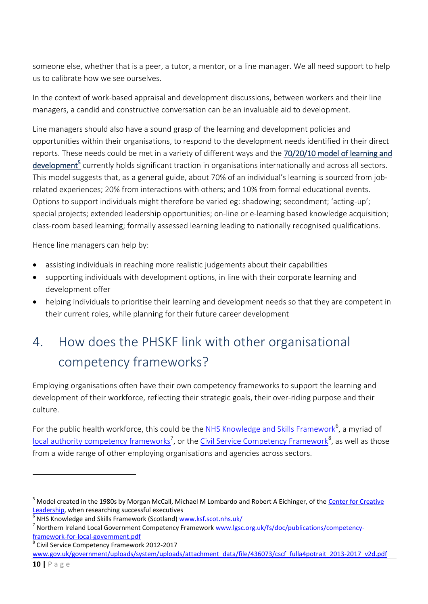someone else, whether that is a peer, a tutor, a mentor, or a line manager. We all need support to help us to calibrate how we see ourselves.

In the context of work-based appraisal and development discussions, between workers and their line managers, a candid and constructive conversation can be an invaluable aid to development.

Line managers should also have a sound grasp of the learning and development policies and opportunities within their organisations, to respond to the development needs identified in their direct reports. These needs could be met in a variety of different ways and the 70/20/10 model of learning and development<sup>5</sup> currently holds significant traction in organisations internationally and across all sectors. This model suggests that, as a general guide, about 70% of an individual's learning is sourced from jobrelated experiences; 20% from interactions with others; and 10% from formal educational events. Options to support individuals might therefore be varied eg: shadowing; secondment; 'acting-up'; special projects; extended leadership opportunities; on-line or e-learning based knowledge acquisition; class-room based learning; formally assessed learning leading to nationally recognised qualifications.

Hence line managers can help by:

- assisting individuals in reaching more realistic judgements about their capabilities
- supporting individuals with development options, in line with their corporate learning and development offer
- helping individuals to prioritise their learning and development needs so that they are competent in their current roles, while planning for their future career development

## 4. How does the PHSKF link with other organisational competency frameworks?

Employing organisations often have their own competency frameworks to support the learning and development of their workforce, reflecting their strategic goals, their over-riding purpose and their culture.

For the public health workforce, this could be the [NHS Knowledge and Skills Framework](http://www.ksf.scot.nhs.uk/)<sup>6</sup>, a myriad of [local authority competency](http://www.lgsc.org.uk/fs/doc/publications/competency-framework-for-local-government.pdf) frameworks<sup>7</sup>, or the [Civil Service Competency Framework](https://www.gov.uk/government/uploads/system/uploads/attachment_data/file/436073/cscf_fulla4potrait_2013-2017_v2d.pdf)<sup>8</sup>, as well as those from a wide range of other employing organisations and agencies across sectors.

<sup>&</sup>lt;sup>5</sup> Model created in the 1980s by Morgan McCall, Michael M Lombardo and Robert A Eichinger, of the Center for Creative [Leadership,](https://www.ccl.org/) when researching successful executives

<sup>6</sup> NHS Knowledge and Skills Framework (Scotland) [www.ksf.scot.nhs.uk/](http://www.ksf.scot.nhs.uk/)

<sup>&</sup>lt;sup>7</sup> Northern Ireland Local Government Competency Framework [www.lgsc.org.uk/fs/doc/publications/competency](http://www.lgsc.org.uk/fs/doc/publications/competency-framework-for-local-government.pdf)[framework-for-local-government.pdf](http://www.lgsc.org.uk/fs/doc/publications/competency-framework-for-local-government.pdf)

<sup>8</sup> Civil Service Competency Framework 2012-2017

[www.gov.uk/government/uploads/system/uploads/attachment\\_data/file/436073/cscf\\_fulla4potrait\\_2013-2017\\_v2d.pdf](http://www.gov.uk/government/uploads/system/uploads/attachment_data/file/436073/cscf_fulla4potrait_2013-2017_v2d.pdf)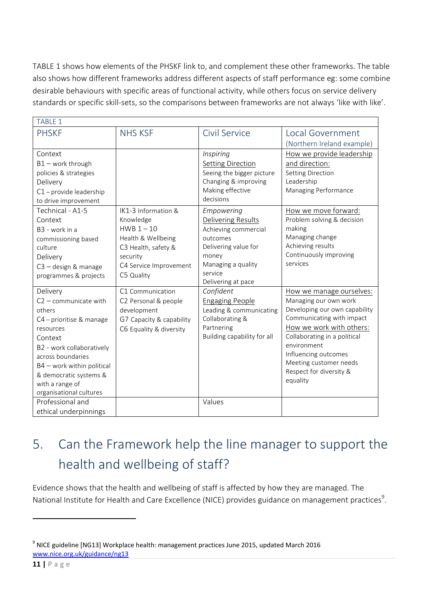TABLE 1 shows how elements of the PHSKF link to, and complement these other frameworks. The table also shows how different frameworks address different aspects of staff performance eg: some combine desirable behaviours with specific areas of functional activity, while others focus on service delivery standards or specific skill-sets, so the comparisons between frameworks are not always 'like with like'.

| <b>TABLE 1</b>               |                          |                             |                                                |  |  |  |
|------------------------------|--------------------------|-----------------------------|------------------------------------------------|--|--|--|
| <b>PHSKF</b>                 | <b>NHS KSF</b>           | Civil Service               | Local Government                               |  |  |  |
|                              |                          |                             | (Northern Ireland example)                     |  |  |  |
| Context                      |                          | Inspiring                   | How we provide leadership                      |  |  |  |
| $B1$ – work through          |                          | <b>Setting Direction</b>    | and direction:                                 |  |  |  |
| policies & strategies        |                          | Seeing the bigger picture   | Setting Direction                              |  |  |  |
| Delivery                     |                          | Changing & improving        | Leadership                                     |  |  |  |
| C1 - provide leadership      |                          | Making effective            | Managing Performance                           |  |  |  |
| to drive improvement         |                          | decisions                   |                                                |  |  |  |
| Technical - A1-5             | IK1-3 Information &      | Empowering                  | How we move forward:                           |  |  |  |
| Context                      | Knowledge                | Delivering Results          | Problem solving & decision                     |  |  |  |
| B <sub>3</sub> - work in a   | HWB $1-10$               | Achieving commercial        | making                                         |  |  |  |
| commissioning based          | Health & Wellbeing       | outcomes                    | Managing change                                |  |  |  |
| culture                      | C3 Health, safety &      | Delivering value for        | Achieving results                              |  |  |  |
| Delivery                     | security                 | money                       | Continuously improving                         |  |  |  |
| C3 - design & manage         | C4 Service Improvement   | Managing a quality          | services                                       |  |  |  |
| programmes & projects        | C5 Quality               | service                     |                                                |  |  |  |
|                              |                          | Delivering at pace          |                                                |  |  |  |
| Delivery                     | C1 Communication         | Confident                   | How we manage ourselves:                       |  |  |  |
| $C2$ - communicate with      | C2 Personal & people     | <b>Engaging People</b>      | Managing our own work                          |  |  |  |
| others                       | development              | Leading & communicating     | Developing our own capability                  |  |  |  |
| C4 - prioritise & manage     | G7 Capacity & capability | Collaborating &             | Communicating with impact                      |  |  |  |
| resources                    | C6 Equality & diversity  | Partnering                  | How we work with others:                       |  |  |  |
| Context                      |                          | Building capability for all | Collaborating in a political                   |  |  |  |
| B2 - work collaboratively    |                          |                             | environment                                    |  |  |  |
| across boundaries            |                          |                             | Influencing outcomes<br>Meeting customer needs |  |  |  |
| $B4$ – work within political |                          |                             | Respect for diversity &                        |  |  |  |
| & democratic systems &       |                          |                             | equality                                       |  |  |  |
| with a range of              |                          |                             |                                                |  |  |  |
| organisational cultures      |                          |                             |                                                |  |  |  |
| Professional and             |                          | Values                      |                                                |  |  |  |
| ethical underpinnings        |                          |                             |                                                |  |  |  |

## 5. Can the Framework help the line manager to support the health and wellbeing of staff?

Evidence shows that the health and wellbeing of staff is affected by how they are managed. The National Institute for Health and Care Excellence (NICE) provides guidance on management practices<sup>9</sup>.

<sup>&</sup>lt;sup>9</sup> NICE guideline [NG13] Workplace health: management practices June 2015, updated March 2016 [www.nice.org.uk/guidance/ng13](http://www.nice.org.uk/guidance/ng13)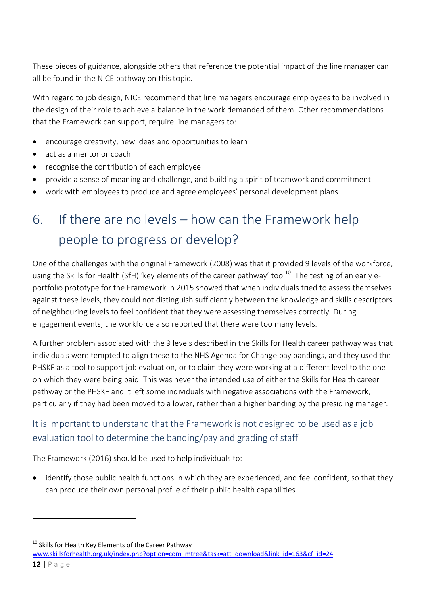These pieces of guidance, alongside others that reference the potential impact of the line manager can all be found in the NICE pathway on this topic.

With regard to job design, NICE recommend that line managers encourage employees to be involved in the design of their role to achieve a balance in the work demanded of them. Other recommendations that the Framework can support, require line managers to:

- encourage creativity, new ideas and opportunities to learn
- act as a mentor or coach
- recognise the contribution of each employee
- provide a sense of meaning and challenge, and building a spirit of teamwork and commitment
- work with employees to produce and agree employees' personal development plans

## 6. If there are no levels – how can the Framework help people to progress or develop?

One of the challenges with the original Framework (2008) was that it provided 9 levels of the workforce, using the Skills for Health (SfH) 'key elements of the career pathway' tool<sup>10</sup>. The testing of an early eportfolio prototype for the Framework in 2015 showed that when individuals tried to assess themselves against these levels, they could not distinguish sufficiently between the knowledge and skills descriptors of neighbouring levels to feel confident that they were assessing themselves correctly. During engagement events, the workforce also reported that there were too many levels.

A further problem associated with the 9 levels described in the Skills for Health career pathway was that individuals were tempted to align these to the NHS Agenda for Change pay bandings, and they used the PHSKF as a tool to support job evaluation, or to claim they were working at a different level to the one on which they were being paid. This was never the intended use of either the Skills for Health career pathway or the PHSKF and it left some individuals with negative associations with the Framework, particularly if they had been moved to a lower, rather than a higher banding by the presiding manager.

### It is important to understand that the Framework is not designed to be used as a job evaluation tool to determine the banding/pay and grading of staff

The Framework (2016) should be used to help individuals to:

 identify those public health functions in which they are experienced, and feel confident, so that they can produce their own personal profile of their public health capabilities

 $10$  Skills for Health Key Elements of the Career Pathway

[www.skillsforhealth.org.uk/index.php?option=com\\_mtree&task=att\\_download&link\\_id=163&cf\\_id=24](http://www.skillsforhealth.org.uk/index.php?option=com_mtree&task=att_download&link_id=163&cf_id=24)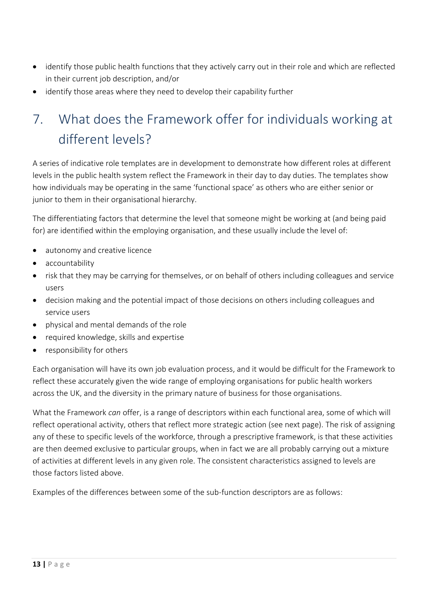- identify those public health functions that they actively carry out in their role and which are reflected in their current job description, and/or
- identify those areas where they need to develop their capability further

## 7. What does the Framework offer for individuals working at different levels?

A series of indicative role templates are in development to demonstrate how different roles at different levels in the public health system reflect the Framework in their day to day duties. The templates show how individuals may be operating in the same 'functional space' as others who are either senior or junior to them in their organisational hierarchy.

The differentiating factors that determine the level that someone might be working at (and being paid for) are identified within the employing organisation, and these usually include the level of:

- autonomy and creative licence
- accountability
- risk that they may be carrying for themselves, or on behalf of others including colleagues and service users
- decision making and the potential impact of those decisions on others including colleagues and service users
- physical and mental demands of the role
- required knowledge, skills and expertise
- responsibility for others

Each organisation will have its own job evaluation process, and it would be difficult for the Framework to reflect these accurately given the wide range of employing organisations for public health workers across the UK, and the diversity in the primary nature of business for those organisations.

What the Framework *can* offer, is a range of descriptors within each functional area, some of which will reflect operational activity, others that reflect more strategic action (see next page). The risk of assigning any of these to specific levels of the workforce, through a prescriptive framework, is that these activities are then deemed exclusive to particular groups, when in fact we are all probably carrying out a mixture of activities at different levels in any given role. The consistent characteristics assigned to levels are those factors listed above.

Examples of the differences between some of the sub-function descriptors are as follows: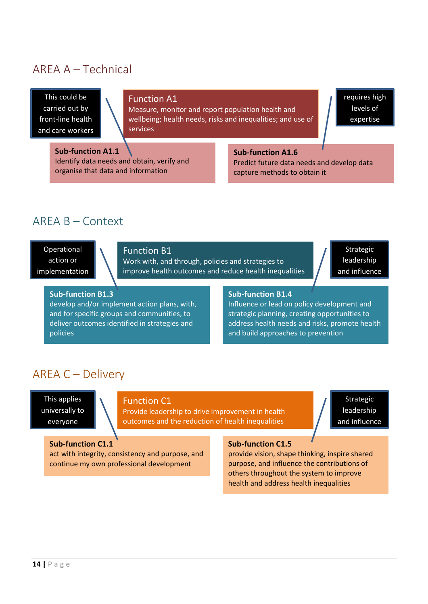### AREA A – Technical

This could be carried out by front-line health and care workers

#### Function A1

Measure, monitor and report population health and wellbeing; health needs, risks and inequalities; and use of services

requires high levels of expertise

**Sub-function A1.1** Identify data needs and obtain, verify and organise that data and information

#### **Sub-function A1.6**

Predict future data needs and develop data capture methods to obtain it

### AREA B – Context

Operational action or implementation

#### Function B1

Work with, and through, policies and strategies to improve health outcomes and reduce health inequalities

Strategic leadership and influence

#### **Sub-function B1.3**

develop and/or implement action plans, with, and for specific groups and communities, to deliver outcomes identified in strategies and policies

#### **Sub-function B1.4**

Influence or lead on policy development and strategic planning, creating opportunities to address health needs and risks, promote health and build approaches to prevention

### AREA C – Delivery

This applies universally to everyone

#### Function C1

Provide leadership to drive improvement in health outcomes and the reduction of health inequalities

Strategic leadership and influence

**Sub-function C1.1** act with integrity, consistency and purpose, and continue my own professional development

#### **Sub-function C1.5**

provide vision, shape thinking, inspire shared purpose, and influence the contributions of others throughout the system to improve health and address health inequalities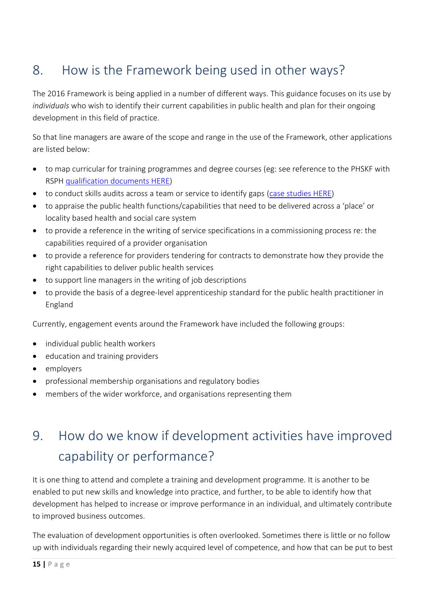### 8. How is the Framework being used in other ways?

The 2016 Framework is being applied in a number of different ways. This guidance focuses on its use by *individuals* who wish to identify their current capabilities in public health and plan for their ongoing development in this field of practice.

So that line managers are aware of the scope and range in the use of the Framework, other applications are listed below:

- to map curricular for training programmes and degree courses (eg: see reference to the PHSKF with RSPH [qualification documents HERE\)](https://www.rsph.org.uk/uploads/assets/uploaded/a84fc26a-faa7-41c7-9e454589c6985ad4.pdf)
- to conduct skills audits across a team or service to identify gaps [\(case studies HERE\)](https://www.gov.uk/government/publications/using-the-phskf-to-conduct-a-staff-skills-survey-2017)
- to appraise the public health functions/capabilities that need to be delivered across a 'place' or locality based health and social care system
- to provide a reference in the writing of service specifications in a commissioning process re: the capabilities required of a provider organisation
- to provide a reference for providers tendering for contracts to demonstrate how they provide the right capabilities to deliver public health services
- to support line managers in the writing of job descriptions
- to provide the basis of a degree-level apprenticeship standard for the public health practitioner in England

Currently, engagement events around the Framework have included the following groups:

- individual public health workers
- education and training providers
- employers
- professional membership organisations and regulatory bodies
- members of the wider workforce, and organisations representing them

## 9. How do we know if development activities have improved capability or performance?

It is one thing to attend and complete a training and development programme. It is another to be enabled to put new skills and knowledge into practice, and further, to be able to identify how that development has helped to increase or improve performance in an individual, and ultimately contribute to improved business outcomes.

The evaluation of development opportunities is often overlooked. Sometimes there is little or no follow up with individuals regarding their newly acquired level of competence, and how that can be put to best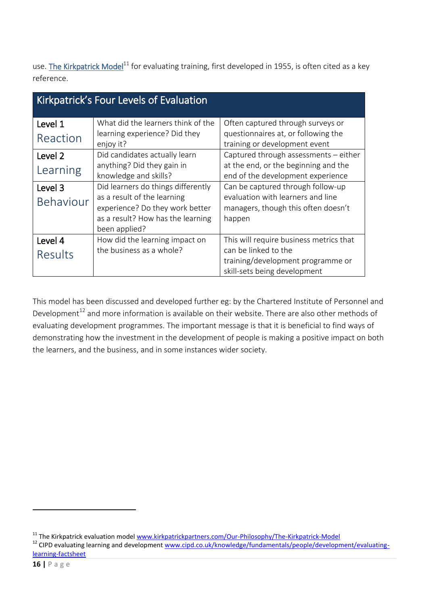use. The Kirkpatrick Model<sup>11</sup> for evaluating training, first developed in 1955, is often cited as a key reference.

| Kirkpatrick's Four Levels of Evaluation |                                                             |                                                                        |  |  |  |  |  |
|-----------------------------------------|-------------------------------------------------------------|------------------------------------------------------------------------|--|--|--|--|--|
| Level 1                                 | What did the learners think of the                          | Often captured through surveys or                                      |  |  |  |  |  |
| Reaction                                | learning experience? Did they<br>enjoy it?                  | questionnaires at, or following the<br>training or development event   |  |  |  |  |  |
| Level <sub>2</sub>                      | Did candidates actually learn                               | Captured through assessments - either                                  |  |  |  |  |  |
| Learning                                | anything? Did they gain in                                  | at the end, or the beginning and the                                   |  |  |  |  |  |
|                                         | knowledge and skills?<br>Did learners do things differently | end of the development experience<br>Can be captured through follow-up |  |  |  |  |  |
| Level 3                                 | as a result of the learning                                 | evaluation with learners and line                                      |  |  |  |  |  |
| <b>Behaviour</b>                        | experience? Do they work better                             | managers, though this often doesn't                                    |  |  |  |  |  |
|                                         | as a result? How has the learning<br>been applied?          | happen                                                                 |  |  |  |  |  |
| Level 4                                 | How did the learning impact on                              | This will require business metrics that                                |  |  |  |  |  |
| Results                                 | the business as a whole?                                    | can be linked to the                                                   |  |  |  |  |  |
|                                         |                                                             | training/development programme or                                      |  |  |  |  |  |
|                                         |                                                             | skill-sets being development                                           |  |  |  |  |  |

This model has been discussed and developed further eg: by the Chartered Institute of Personnel and Development $^{12}$  and more information is available on their website. There are also other methods of evaluating development programmes. The important message is that it is beneficial to find ways of demonstrating how the investment in the development of people is making a positive impact on both the learners, and the business, and in some instances wider society.

**.** 

<sup>&</sup>lt;sup>11</sup> The Kirkpatrick evaluation model [www.kirkpatrickpartners.com/Our-Philosophy/The-Kirkpatrick-Model](http://www.kirkpatrickpartners.com/Our-Philosophy/The-Kirkpatrick-Model)

<sup>&</sup>lt;sup>12</sup> CIPD evaluating learning and development [www.cipd.co.uk/knowledge/fundamentals/people/development/evaluating](http://www.cipd.co.uk/knowledge/fundamentals/people/development/evaluating-learning-factsheet)[learning-factsheet](http://www.cipd.co.uk/knowledge/fundamentals/people/development/evaluating-learning-factsheet)